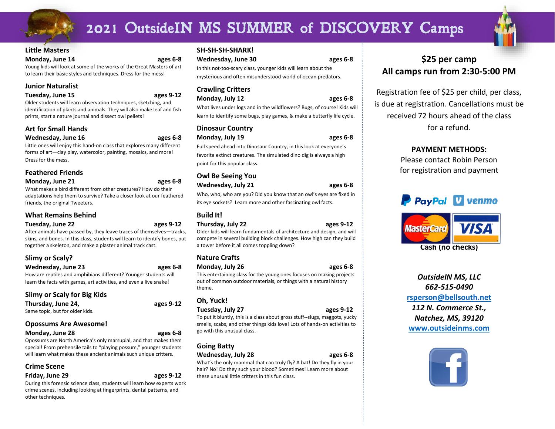## 2021 OutsideIN MS SUMMER of DISCOVERY Camps

#### **Little Masters**

#### **Monday, June 14 ages 6-8**

Young kids will look at some of the works of the Great Masters of art to learn their basic styles and techniques. Dress for the mess!

#### **Junior Naturalist**

#### **Tuesday, June 15 ages 9-12**

Older students will learn observation techniques, sketching, and identification of plants and animals. They will also make leaf and fish prints, start a nature journal and dissect owl pellets!

#### **Art for Small Hands**

#### **Wednesday, June 16 ages 6-8**

Little ones will enjoy this hand-on class that explores many different forms of art—clay play, watercolor, painting, mosaics, and more! Dress for the mess.

#### **Feathered Friends**

#### **Monday, June 21 ages 6-8**

What makes a bird different from other creatures? How do their adaptations help them to survive? Take a closer look at our feathered friends, the original Tweeters.

#### **What Remains Behind**

#### **Tuesday, June 22 ages 9-12**

After animals have passed by, they leave traces of themselves—tracks, skins, and bones. In this class, students will learn to identify bones, put

#### **Slimy or Scaly?**

#### **Wednesday, June 23 ages 6-8**

How are reptiles and amphibians different? Younger students will learn the facts with games, art activities, and even a live snake!

together a skeleton, and make a plaster animal track cast.

#### **Slimy or Scaly for Big Kids**

| Thursday, June 24,              |  |
|---------------------------------|--|
| Same topic, but for older kids. |  |

#### **Opossums Are Awesome!**

| Monday, June 28 |  |  |  |
|-----------------|--|--|--|
|                 |  |  |  |

Opossums are North America's only marsupial, and that makes them special! From prehensile tails to "playing possum," younger students will learn what makes these ancient animals such unique critters.

#### **Crime Scene**

#### **Friday, June 29 ages 9-12**

During this forensic science class, students will learn how experts work crime scenes, including looking at fingerprints, dental patterns, and other techniques.

#### **SH-SH-SH-SHARK!**

**Wednesday, June 30 ages 6-8**

In this not-too-scary class, younger kids will learn about the mysterious and often misunderstood world of ocean predators.

#### **Crawling Critters**

| Monday, July 12 |  | ages 6-8 |
|-----------------|--|----------|
|                 |  |          |

What lives under logs and in the wildflowers? Bugs, of course! Kids will learn to identify some bugs, play games, & make a butterfly life cycle.

#### **Dinosaur Country**

**Monday, July 19 ages 6-8**

Full speed ahead into Dinosaur Country, in this look at everyone's favorite extinct creatures. The simulated dino dig is always a high point for this popular class.

#### **Owl Be Seeing You Wednesday, July 21 ages 6-8**

Who, who, who are you? Did you know that an owl's eyes are fixed in

its eye sockets? Learn more and other fascinating owl facts.

#### **Build It!**

**Thursday, July 22 ages 9-12**

Older kids will learn fundamentals of architecture and design, and will compete in several building block challenges. How high can they build a tower before it all comes toppling down?

#### **Nature Crafts**

**Monday, July 26 ages 6-8**

This entertaining class for the young ones focuses on making projects out of common outdoor materials, or things with a natural history theme.

#### **Oh, Yuck!**

**Tuesday, July 27 ages 9-12** To put it bluntly, this is a class about gross stuff--slugs, maggots, yucky

smells, scabs, and other things kids love! Lots of hands-on activities to go with this unusual class.

#### **Going Batty**

**Wednesday, July 28 ages 6-8**

What's the only mammal that can truly fly? A bat! Do they fly in your hair? No! Do they such your blood? Sometimes! Learn more about these unusual little critters in this fun class.

### **\$25 per camp All camps run from 2:30-5:00 PM**

Registration fee of \$25 per child, per class, is due at registration. Cancellations must be received 72 hours ahead of the class for a refund.

#### **PAYMENT METHODS:**

Please contact Robin Person for registration and payment





*OutsideIN MS, LLC 662-515-0490* **[rsperson@bellsouth.net](mailto:rsperson@bellsouth.net)** *112 N. Commerce St., Natchez, MS, 39120* **[www.outsideinms.com](http://www.outsideinms.com/)**













**Thursday, June 24, ages 9-12**

**Monday, June 28 ages 6-8**